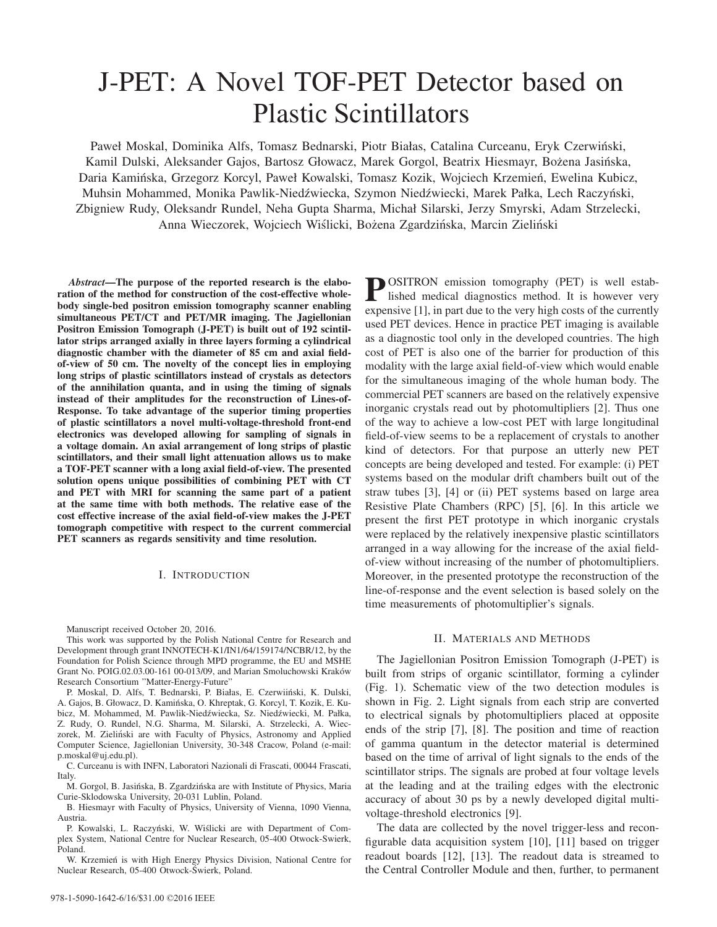# J-PET: A Novel TOF-PET Detector based on Plastic Scintillators

Paweł Moskal, Dominika Alfs, Tomasz Bednarski, Piotr Białas, Catalina Curceanu, Eryk Czerwinski, ´ Kamil Dulski, Aleksander Gajos, Bartosz Głowacz, Marek Gorgol, Beatrix Hiesmayr, Bożena Jasińska, Daria Kamińska, Grzegorz Korcyl, Paweł Kowalski, Tomasz Kozik, Wojciech Krzemień, Ewelina Kubicz, Muhsin Mohammed, Monika Pawlik-Niedźwiecka, Szymon Niedźwiecki, Marek Pałka, Lech Raczyński, Zbigniew Rudy, Oleksandr Rundel, Neha Gupta Sharma, Michał Silarski, Jerzy Smyrski, Adam Strzelecki, Anna Wieczorek, Wojciech Wiślicki, Bożena Zgardzińska, Marcin Zieliński

*Abstract*—The purpose of the reported research is the elaboration of the method for construction of the cost-effective wholebody single-bed positron emission tomography scanner enabling simultaneous PET/CT and PET/MR imaging. The Jagiellonian Positron Emission Tomograph (J-PET) is built out of 192 scintillator strips arranged axially in three layers forming a cylindrical diagnostic chamber with the diameter of 85 cm and axial fieldof-view of 50 cm. The novelty of the concept lies in employing long strips of plastic scintillators instead of crystals as detectors of the annihilation quanta, and in using the timing of signals instead of their amplitudes for the reconstruction of Lines-of-Response. To take advantage of the superior timing properties of plastic scintillators a novel multi-voltage-threshold front-end electronics was developed allowing for sampling of signals in a voltage domain. An axial arrangement of long strips of plastic scintillators, and their small light attenuation allows us to make a TOF-PET scanner with a long axial field-of-view. The presented solution opens unique possibilities of combining PET with CT and PET with MRI for scanning the same part of a patient at the same time with both methods. The relative ease of the cost effective increase of the axial field-of-view makes the J-PET tomograph competitive with respect to the current commercial PET scanners as regards sensitivity and time resolution.

## I. INTRODUCTION

Manuscript received October 20, 2016.

This work was supported by the Polish National Centre for Research and Development through grant INNOTECH-K1/IN1/64/159174/NCBR/12, by the Foundation for Polish Science through MPD programme, the EU and MSHE Grant No. POIG.02.03.00-161 00-013/09, and Marian Smoluchowski Krakow´ Research Consortium "Matter-Energy-Future"

P. Moskal, D. Alfs, T. Bednarski, P. Białas, E. Czerwiiński, K. Dulski, A. Gajos, B. Głowacz, D. Kaminska, O. Khreptak, G. Korcyl, T. Kozik, E. Ku- ´ bicz, M. Mohammed, M. Pawlik-Niedźwiecka, Sz. Niedźwiecki, M. Pałka, Z. Rudy, O. Rundel, N.G. Sharma, M. Silarski, A. Strzelecki, A. Wieczorek, M. Zieliński are with Faculty of Physics, Astronomy and Applied Computer Science, Jagiellonian University, 30-348 Cracow, Poland (e-mail: p.moskal@uj.edu.pl).

C. Curceanu is with INFN, Laboratori Nazionali di Frascati, 00044 Frascati, Italy.

M. Gorgol, B. Jasińska, B. Zgardzińska are with Institute of Physics, Maria Curie-Sklodowska University, 20-031 Lublin, Poland.

B. Hiesmayr with Faculty of Physics, University of Vienna, 1090 Vienna, Austria.

P. Kowalski, L. Raczyński, W. Wiślicki are with Department of Complex System, National Centre for Nuclear Research, 05-400 Otwock-Swierk, Poland.

W. Krzemień is with High Energy Physics Division, National Centre for Nuclear Research, 05-400 Otwock-Swierk, Poland. ´

**POSITRON** emission tomography (PET) is well established medical diagnostics method. It is however very expensive [1], in part due to the very high costs of the currently used PET devices. Hence in practice PET imaging is available as a diagnostic tool only in the developed countries. The high cost of PET is also one of the barrier for production of this modality with the large axial field-of-view which would enable for the simultaneous imaging of the whole human body. The commercial PET scanners are based on the relatively expensive inorganic crystals read out by photomultipliers [2]. Thus one of the way to achieve a low-cost PET with large longitudinal field-of-view seems to be a replacement of crystals to another kind of detectors. For that purpose an utterly new PET concepts are being developed and tested. For example: (i) PET systems based on the modular drift chambers built out of the straw tubes [3], [4] or (ii) PET systems based on large area Resistive Plate Chambers (RPC) [5], [6]. In this article we present the first PET prototype in which inorganic crystals were replaced by the relatively inexpensive plastic scintillators arranged in a way allowing for the increase of the axial fieldof-view without increasing of the number of photomultipliers. Moreover, in the presented prototype the reconstruction of the line-of-response and the event selection is based solely on the time measurements of photomultiplier's signals.

## II. MATERIALS AND METHODS

The Jagiellonian Positron Emission Tomograph (J-PET) is built from strips of organic scintillator, forming a cylinder (Fig. 1). Schematic view of the two detection modules is shown in Fig. 2. Light signals from each strip are converted to electrical signals by photomultipliers placed at opposite ends of the strip [7], [8]. The position and time of reaction of gamma quantum in the detector material is determined based on the time of arrival of light signals to the ends of the scintillator strips. The signals are probed at four voltage levels at the leading and at the trailing edges with the electronic accuracy of about 30 ps by a newly developed digital multivoltage-threshold electronics [9].

The data are collected by the novel trigger-less and reconfigurable data acquisition system [10], [11] based on trigger readout boards [12], [13]. The readout data is streamed to the Central Controller Module and then, further, to permanent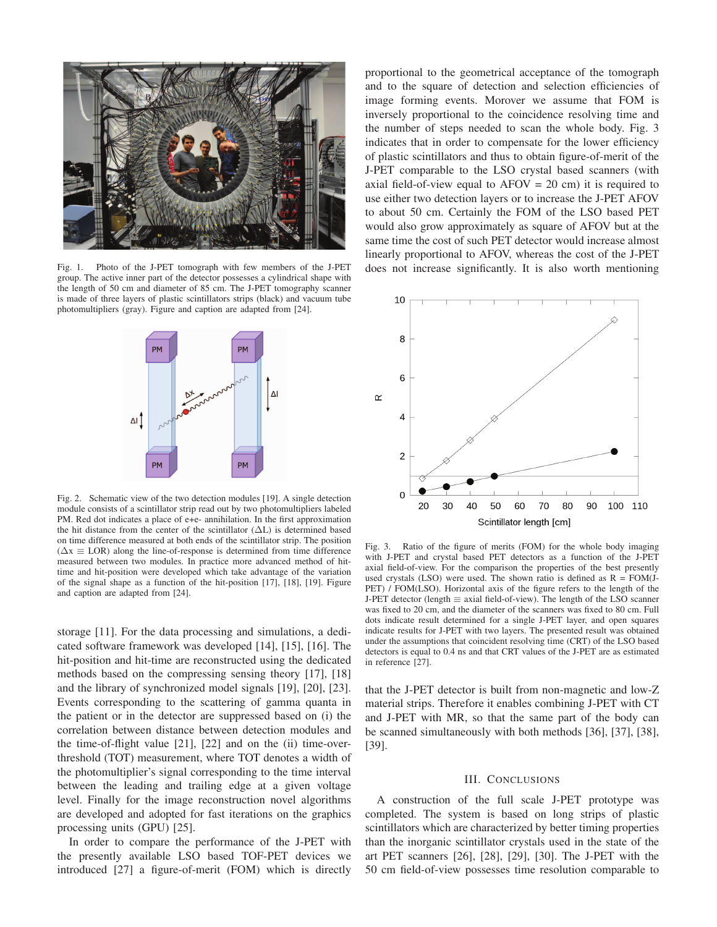

Fig. 1. Photo of the J-PET tomograph with few members of the J-PET group. The active inner part of the detector possesses a cylindrical shape with the length of 50 cm and diameter of 85 cm. The J-PET tomography scanner is made of three layers of plastic scintillators strips (black) and vacuum tube photomultipliers (gray). Figure and caption are adapted from [24].



Fig. 2. Schematic view of the two detection modules [19]. A single detection module consists of a scintillator strip read out by two photomultipliers labeled PM. Red dot indicates a place of e+e- annihilation. In the first approximation the hit distance from the center of the scintillator  $(\Delta L)$  is determined based on time difference measured at both ends of the scintillator strip. The position  $(\Delta x \equiv \text{LOR})$  along the line-of-response is determined from time difference measured between two modules. In practice more advanced method of hittime and hit-position were developed which take advantage of the variation of the signal shape as a function of the hit-position [17], [18], [19]. Figure and caption are adapted from [24].

storage [11]. For the data processing and simulations, a dedicated software framework was developed [14], [15], [16]. The hit-position and hit-time are reconstructed using the dedicated methods based on the compressing sensing theory [17], [18] and the library of synchronized model signals [19], [20], [23]. Events corresponding to the scattering of gamma quanta in the patient or in the detector are suppressed based on (i) the correlation between distance between detection modules and the time-of-flight value [21], [22] and on the (ii) time-overthreshold (TOT) measurement, where TOT denotes a width of the photomultiplier's signal corresponding to the time interval between the leading and trailing edge at a given voltage level. Finally for the image reconstruction novel algorithms are developed and adopted for fast iterations on the graphics processing units (GPU) [25].

In order to compare the performance of the J-PET with the presently available LSO based TOF-PET devices we introduced [27] a figure-of-merit (FOM) which is directly

proportional to the geometrical acceptance of the tomograph and to the square of detection and selection efficiencies of image forming events. Morover we assume that FOM is inversely proportional to the coincidence resolving time and the number of steps needed to scan the whole body. Fig. 3 indicates that in order to compensate for the lower efficiency of plastic scintillators and thus to obtain figure-of-merit of the J-PET comparable to the LSO crystal based scanners (with axial field-of-view equal to  $AFOV = 20$  cm) it is required to use either two detection layers or to increase the J-PET AFOV to about 50 cm. Certainly the FOM of the LSO based PET would also grow approximately as square of AFOV but at the same time the cost of such PET detector would increase almost linearly proportional to AFOV, whereas the cost of the J-PET does not increase significantly. It is also worth mentioning



Fig. 3. Ratio of the figure of merits (FOM) for the whole body imaging with J-PET and crystal based PET detectors as a function of the J-PET axial field-of-view. For the comparison the properties of the best presently used crystals (LSO) were used. The shown ratio is defined as  $R = FOM(J-$ PET) / FOM(LSO). Horizontal axis of the figure refers to the length of the J-PET detector (length  $\equiv$  axial field-of-view). The length of the LSO scanner was fixed to 20 cm, and the diameter of the scanners was fixed to 80 cm. Full dots indicate result determined for a single J-PET layer, and open squares indicate results for J-PET with two layers. The presented result was obtained under the assumptions that coincident resolving time (CRT) of the LSO based detectors is equal to 0.4 ns and that CRT values of the J-PET are as estimated in reference [27].

that the J-PET detector is built from non-magnetic and low-Z material strips. Therefore it enables combining J-PET with CT and J-PET with MR, so that the same part of the body can be scanned simultaneously with both methods [36], [37], [38], [39].

## III. CONCLUSIONS

A construction of the full scale J-PET prototype was completed. The system is based on long strips of plastic scintillators which are characterized by better timing properties than the inorganic scintillator crystals used in the state of the art PET scanners [26], [28], [29], [30]. The J-PET with the 50 cm field-of-view possesses time resolution comparable to